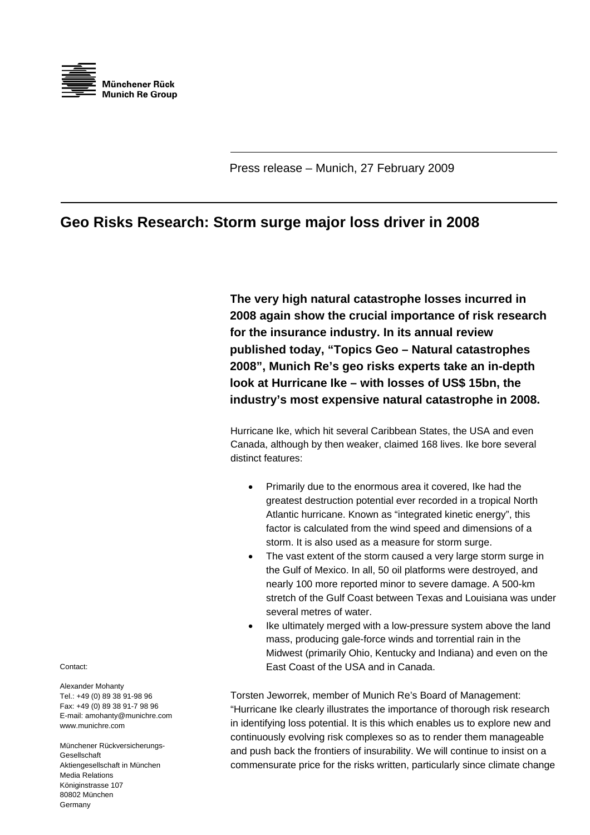

Press release – Munich, 27 February 2009

## **Geo Risks Research: Storm surge major loss driver in 2008**

**The very high natural catastrophe losses incurred in 2008 again show the crucial importance of risk research for the insurance industry. In its annual review published today, "Topics Geo – Natural catastrophes 2008", Munich Re's geo risks experts take an in-depth look at Hurricane Ike – with losses of US\$ 15bn, the industry's most expensive natural catastrophe in 2008.** 

Hurricane Ike, which hit several Caribbean States, the USA and even Canada, although by then weaker, claimed 168 lives. Ike bore several distinct features:

- Primarily due to the enormous area it covered, Ike had the greatest destruction potential ever recorded in a tropical North Atlantic hurricane. Known as "integrated kinetic energy", this factor is calculated from the wind speed and dimensions of a storm. It is also used as a measure for storm surge.
- The vast extent of the storm caused a very large storm surge in the Gulf of Mexico. In all, 50 oil platforms were destroyed, and nearly 100 more reported minor to severe damage. A 500-km stretch of the Gulf Coast between Texas and Louisiana was under several metres of water.
- Ike ultimately merged with a low-pressure system above the land mass, producing gale-force winds and torrential rain in the Midwest (primarily Ohio, Kentucky and Indiana) and even on the East Coast of the USA and in Canada.

Torsten Jeworrek, member of Munich Re's Board of Management: "Hurricane Ike clearly illustrates the importance of thorough risk research in identifying loss potential. It is this which enables us to explore new and continuously evolving risk complexes so as to render them manageable and push back the frontiers of insurability. We will continue to insist on a commensurate price for the risks written, particularly since climate change

Contact:

Alexander Mohanty Tel.: +49 (0) 89 38 91-98 96 Fax: +49 (0) 89 38 91-7 98 96 E-mail: amohanty@munichre.com www.munichre.com

Münchener Rückversicherungs-Gesellschaft Aktiengesellschaft in München Media Relations Königinstrasse 107 80802 München Germany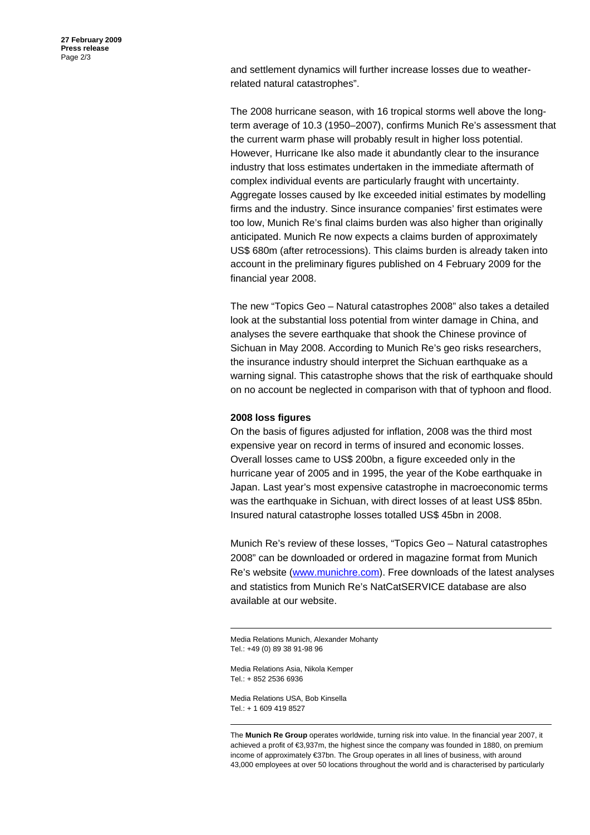and settlement dynamics will further increase losses due to weatherrelated natural catastrophes".

The 2008 hurricane season, with 16 tropical storms well above the longterm average of 10.3 (1950–2007), confirms Munich Re's assessment that the current warm phase will probably result in higher loss potential. However, Hurricane Ike also made it abundantly clear to the insurance industry that loss estimates undertaken in the immediate aftermath of complex individual events are particularly fraught with uncertainty. Aggregate losses caused by Ike exceeded initial estimates by modelling firms and the industry. Since insurance companies' first estimates were too low, Munich Re's final claims burden was also higher than originally anticipated. Munich Re now expects a claims burden of approximately US\$ 680m (after retrocessions). This claims burden is already taken into account in the preliminary figures published on 4 February 2009 for the financial year 2008.

The new "Topics Geo – Natural catastrophes 2008" also takes a detailed look at the substantial loss potential from winter damage in China, and analyses the severe earthquake that shook the Chinese province of Sichuan in May 2008. According to Munich Re's geo risks researchers, the insurance industry should interpret the Sichuan earthquake as a warning signal. This catastrophe shows that the risk of earthquake should on no account be neglected in comparison with that of typhoon and flood.

## **2008 loss figures**

On the basis of figures adjusted for inflation, 2008 was the third most expensive year on record in terms of insured and economic losses. Overall losses came to US\$ 200bn, a figure exceeded only in the hurricane year of 2005 and in 1995, the year of the Kobe earthquake in Japan. Last year's most expensive catastrophe in macroeconomic terms was the earthquake in Sichuan, with direct losses of at least US\$ 85bn. Insured natural catastrophe losses totalled US\$ 45bn in 2008.

Munich Re's review of these losses, "Topics Geo – Natural catastrophes 2008" can be downloaded or ordered in magazine format from Munich Re's website (www.munichre.com). Free downloads of the latest analyses and statistics from Munich Re's NatCatSERVICE database are also available at our website.

Media Relations Munich, Alexander Mohanty Tel.: +49 (0) 89 38 91-98 96

Media Relations Asia, Nikola Kemper Tel.: + 852 2536 6936

Media Relations USA, Bob Kinsella  $Tel: + 16094198527$ 

The **Munich Re Group** operates worldwide, turning risk into value. In the financial year 2007, it achieved a profit of €3,937m, the highest since the company was founded in 1880, on premium income of approximately €37bn. The Group operates in all lines of business, with around 43,000 employees at over 50 locations throughout the world and is characterised by particularly